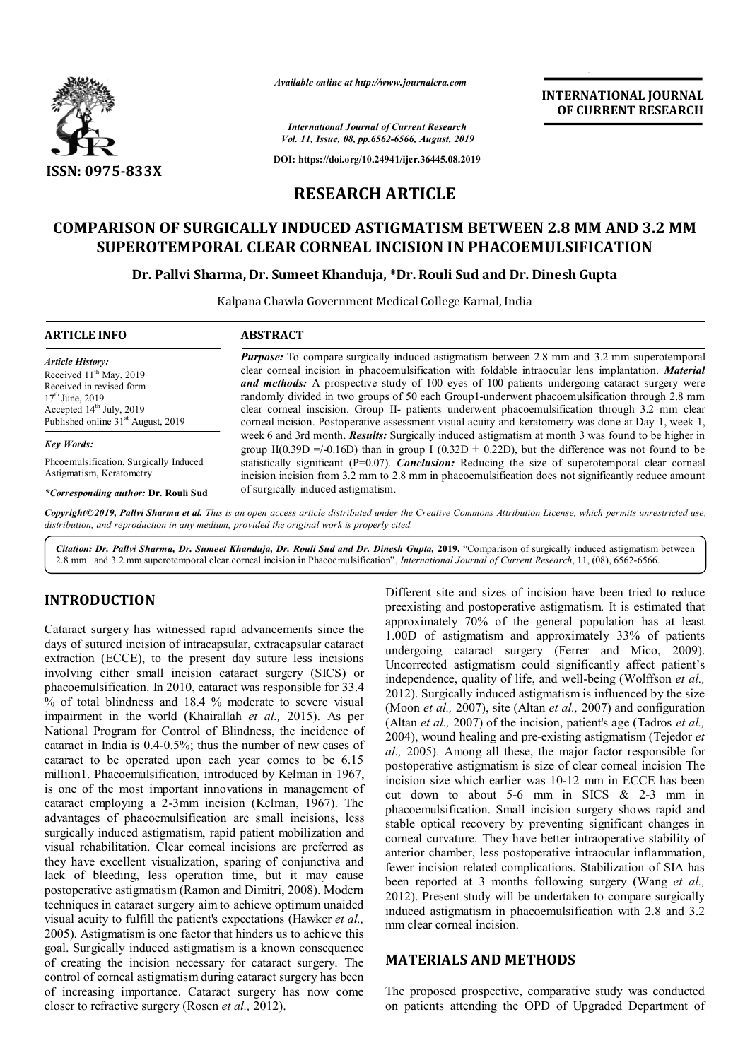

*Available online at http://www.journalcra.com*

**INTERNATIONAL JOURNAL OF CURRENT RESEARCH**

*International Journal of Current Research Vol. 11, Issue, 08, pp.6562-6566, August, 2019*

**DOI: https://doi.org/10.24941/ijcr.36445.08.2019**

## **RESEARCH ARTICLE**

# **COMPARISON OF SURGICALLY INDUCED ASTIGMATISM BETWEEN 2.8 MM AND 3.2 MM SUPEROTEMPORAL CLEAR CORNEAL INCISION IN PHACOEMULSIFICATION**

#### **Dr. Pallvi Sharma, Dr. Sumeet Khanduja, \*Dr. Rouli Sud and Dr. Dinesh Gupta**

Kalpana Chawla Government Medical College Karnal, India

| <b>ARTICLE INFO</b>                            | <b>ABSTRACT</b>                                                                                                                                                                                                   |
|------------------------------------------------|-------------------------------------------------------------------------------------------------------------------------------------------------------------------------------------------------------------------|
| <b>Article History:</b>                        | <b><i>Purpose:</i></b> To compare surgically induced astigmatism between 2.8 mm and 3.2 mm superotemporal                                                                                                         |
| Received $11th$ May, 2019                      | clear corneal incision in phacoemulsification with foldable intraocular lens implantation. Material                                                                                                               |
| Received in revised form                       | <b>and methods:</b> A prospective study of 100 eyes of 100 patients undergoing cataract surgery were                                                                                                              |
| $17th$ June, 2019                              | randomly divided in two groups of 50 each Group1-underwent phacoemulsification through 2.8 mm                                                                                                                     |
| Accepted $14th$ July, 2019                     | clear corneal inscision. Group II- patients underwent phacoemulsification through 3.2 mm clear                                                                                                                    |
| Published online 31 <sup>st</sup> August, 2019 | corneal incision. Postoperative assessment visual acuity and keratometry was done at Day 1, week 1,                                                                                                               |
| <b>Key Words:</b>                              | week 6 and 3rd month. <b>Results:</b> Surgically induced astigmatism at month 3 was found to be higher in<br>group II(0.39D =/-0.16D) than in group I (0.32D $\pm$ 0.22D), but the difference was not found to be |
| Pheoemulsification, Surgically Induced         | statistically significant $(P=0.07)$ . <i>Conclusion</i> : Reducing the size of superotemporal clear corneal                                                                                                      |
| Astigmatism, Keratometry.                      | incision incision from 3.2 mm to 2.8 mm in phacoemulsification does not significantly reduce amount                                                                                                               |

*\*Corresponding author:* **Dr. Rouli Sud**

incision incision from 3.2 mm to 2.8 mm in phacoemulsification does not significantly reduce amount of surgically induced astigmatism.

Copyright©2019, Pallyi Sharma et al. This is an open access article distributed under the Creative Commons Attribution License, which permits unrestricted use, *distribution, and reproduction in any medium, provided the original work is properly cited.*

*Citation: Dr. Pallvi Sharma, Dr. Sumeet Khanduja, Dr. Rouli Sud and Dr. Dinesh Gupta,* **2019.** "Comparison of surgically induced astigmatism between 2.8 mm and 3.2 mm superotemporal clear corneal incision in Phacoemulsification", *International Journal of Current Research*, 11, (08), 6562-6566.

### **INTRODUCTION**

Cataract surgery has witnessed rapid advancements since the days of sutured incision of intracapsular, extracapsular cataract extraction (ECCE), to the present day suture less incisions involving either small incision cataract surgery (SICS) or phacoemulsification. In 2010, cataract was responsible for 33.4 % of total blindness and 18.4 % moderate to severe visual impairment in the world (Khairallah *et al.,* 2015). As per National Program for Control of Blindness, the incidence of cataract in India is 0.4-0.5%; thus the number of new cases of cataract to be operated upon each year comes to be 6.15 million1. Phacoemulsification, introduced by Kelman in 1967, is one of the most important innovations in management of cataract employing a 2-3mm incision (Kelman, 1967). The advantages of phacoemulsification are small incisions, less surgically induced astigmatism, rapid patient mobilization and visual rehabilitation. Clear corneal incisions are preferred as they have excellent visualization, sparing of conjunctiva and lack of bleeding, less operation time, but it may cause postoperative astigmatism (Ramon and Dimitri, 2008). Modern techniques in cataract surgery aim to achieve optimum unaided visual acuity to fulfill the patient's expectations (Hawker *et al.,*  2005). Astigmatism is one factor that hinders us to achieve this goal. Surgically induced astigmatism is a known consequence of creating the incision necessary for cataract surgery. The control of corneal astigmatism during cataract surgery has been of increasing importance. Cataract surgery has now come closer to refractive surgery (Rosen *et al.,* 2012).

Different site and sizes of incision have been tried to reduce preexisting and postoperative astigmatism. It is estimated that approximately 70% of the general population has at least 1.00D of astigmatism and approximately 33% of patients undergoing cataract surgery (Ferrer and Mico, 2009). Uncorrected astigmatism could significantly affect patient's independence, quality of life, and well-being (Wolffson *et al.,*  2012). Surgically induced astigmatism is influenced by the size (Moon *et al.,* 2007), site (Altan *et al.,* 2007) and configuration (Altan *et al.,* 2007) of the incision, patient's age (Tadros *et al.,*  2004), wound healing and pre-existing astigmatism (Tejedor *et al.,* 2005). Among all these, the major factor responsible for postoperative astigmatism is size of clear corneal incision The incision size which earlier was 10-12 mm in ECCE has been cut down to about 5-6 mm in SICS  $& 2-3$  mm in phacoemulsification. Small incision surgery shows rapid and stable optical recovery by preventing significant changes in corneal curvature. They have better intraoperative stability of anterior chamber, less postoperative intraocular inflammation, fewer incision related complications. Stabilization of SIA has been reported at 3 months following surgery (Wang *et al.,*  2012). Present study will be undertaken to compare surgically induced astigmatism in phacoemulsification with 2.8 and 3.2 mm clear corneal incision.

### **MATERIALS AND METHODS**

The proposed prospective, comparative study was conducted on patients attending the OPD of Upgraded Department of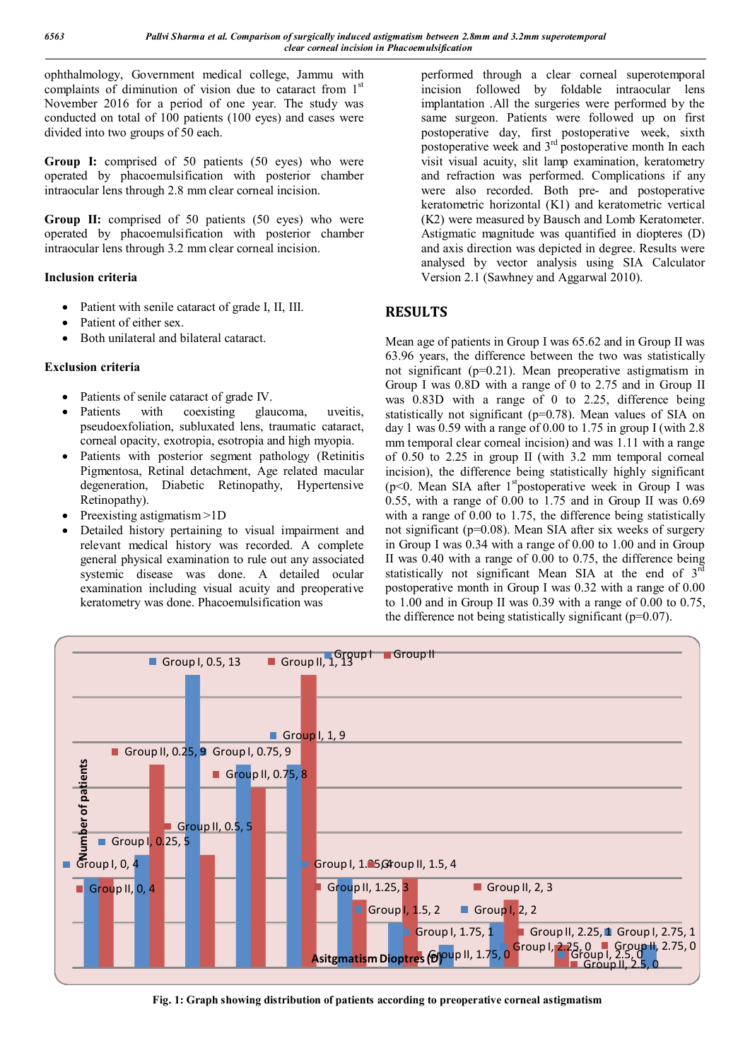ophthalmology, Government medical college, Jammu with complaints of diminution of vision due to cataract from 1<sup>st</sup> November 2016 for a period of one year. The study was conducted on total of 100 patients (100 eyes) and cases were divided into two groups of 50 each.

Group I: comprised of 50 patients (50 eyes) who were operated by phacoemulsification with posterior chamber intraocular lens through 2.8 mm clear corneal incision.

**Group II:** comprised of 50 patients (50 eyes) who were operated by phacoemulsification with posterior chamber intraocular lens through 3.2 mm clear corneal incision.

### **Inclusion criteria**

- Patient with senile cataract of grade I, II, III.
- Patient of either sex.
- Both unilateral and bilateral cataract.

### **Exclusion criteria**

- Patients of senile cataract of grade IV.
- Patients with coexisting glaucoma, uveitis, pseudoexfoliation, subluxated lens, traumatic cataract, corneal opacity, exotropia, esotropia and high myopia.
- Patients with posterior segment pathology (Retinitis Pigmentosa, Retinal detachment, Age related macular degeneration, Diabetic Retinopathy, Hypertensive Retinopathy).
- Preexisting astigmatism >1D
- Detailed history pertaining to visual impairment and relevant medical history was recorded. A complete general physical examination to rule out any associated systemic disease was done. A detailed ocular examination including visual acuity and preoperative keratometry was done. Phacoemulsification was

performed through a clear corneal superotemporal incision followed by foldable intraocular lens implantation .All the surgeries were performed by the same surgeon. Patients were followed up on first postoperative day, first postoperative week, sixth postoperative week and  $3<sup>rd</sup>$  postoperative month In each visit visual acuity, slit lamp examination, keratometry and refraction was performed. Complications if any were also recorded. Both pre- and postoperative keratometric horizontal (K1) and keratometric vertical (K2) were measured by Bausch and Lomb Keratometer. Astigmatic magnitude was quantified in diopteres (D) and axis direction was depicted in degree. Results were analysed by vector analysis using SIA Calculator Version 2.1 (Sawhney and Aggarwal 2010).

## **RESULTS**

Mean age of patients in Group I was 65.62 and in Group II was 63.96 years, the difference between the two was statistically not significant (p=0.21). Mean preoperative astigmatism in Group I was 0.8D with a range of 0 to 2.75 and in Group II was 0.83D with a range of 0 to 2.25, difference being statistically not significant (p=0.78). Mean values of SIA on day 1 was 0.59 with a range of 0.00 to 1.75 in group I (with 2.8) mm temporal clear corneal incision) and was 1.11 with a range of 0.50 to 2.25 in group II (with 3.2 mm temporal corneal incision), the difference being statistically highly significant (p<0. Mean SIA after 1<sup>st</sup>postoperative week in Group I was 0.55, with a range of 0.00 to 1.75 and in Group II was 0.69 with a range of 0.00 to 1.75, the difference being statistically not significant (p=0.08). Mean SIA after six weeks of surgery in Group I was 0.34 with a range of 0.00 to 1.00 and in Group II was 0.40 with a range of 0.00 to 0.75, the difference being statistically not significant Mean SIA at the end of 3<sup>rd</sup> postoperative month in Group I was 0.32 with a range of 0.00 to 1.00 and in Group II was 0.39 with a range of 0.00 to 0.75, the difference not being statistically significant  $(p=0.07)$ .



**Fig. 1: Graph showing distribution of patients according to preoperative corneal astigmatism**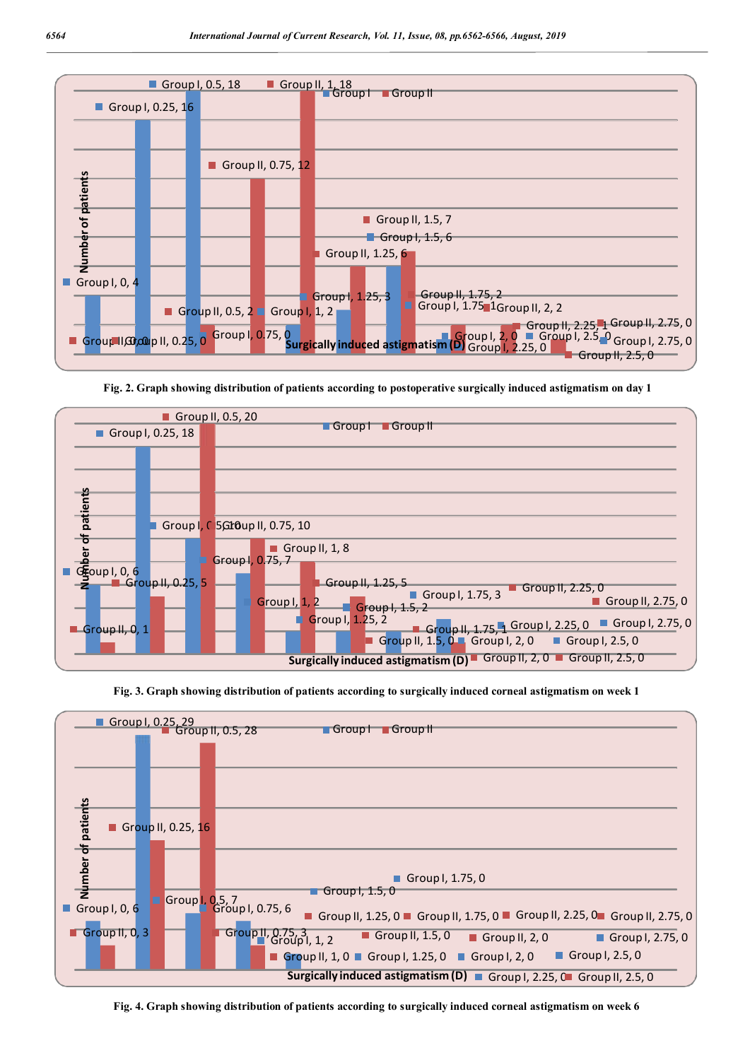

**Fig. 2. Graph showing distribution of patients according to postoperative surgically induced astigmatism on day 1**



**Fig. 3. Graph showing distribution of patients according to surgically induced corneal astigmatism on week 1**



**Fig. 4. Graph showing distribution of patients according to surgically induced corneal astigmatism on week 6**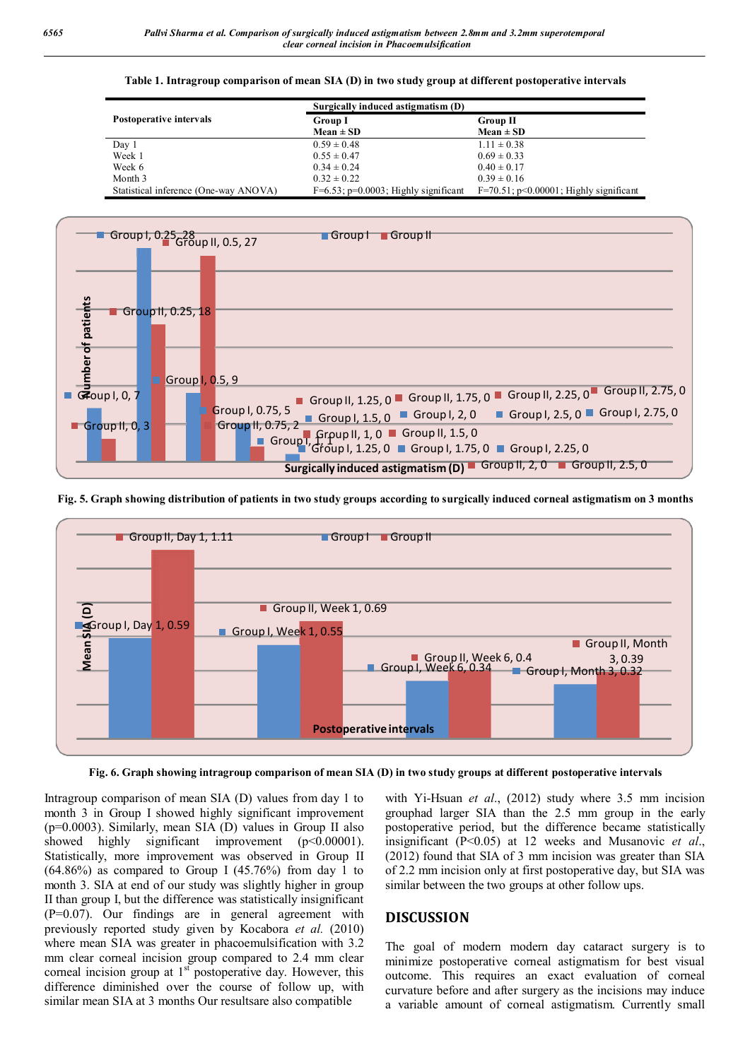#### **Table 1. Intragroup comparison of mean SIA (D) in two study group at different postoperative intervals**

|                                       | Surgically induced astigmatism (D)         |                                              |
|---------------------------------------|--------------------------------------------|----------------------------------------------|
| Postoperative intervals               | <b>Group I</b>                             | <b>Group II</b>                              |
|                                       | $Mean \pm SD$                              | $Mean \pm SD$                                |
| Day 1                                 | $0.59 \pm 0.48$                            | $1.11 \pm 0.38$                              |
| Week 1                                | $0.55 \pm 0.47$                            | $0.69 \pm 0.33$                              |
| Week 6                                | $0.34 \pm 0.24$                            | $0.40 \pm 0.17$                              |
| Month 3                               | $0.32 \pm 0.22$                            | $0.39 \pm 0.16$                              |
| Statistical inference (One-way ANOVA) | $F=6.53$ ; $p=0.0003$ ; Highly significant | $F=70.51$ ; $p<0.00001$ ; Highly significant |



**Fig. 5. Graph showing distribution of patients in two study groups according to surgically induced corneal astigmatism on 3 months**



**Fig. 6. Graph showing intragroup comparison of mean SIA (D) in two study groups at different postoperative intervals**

Intragroup comparison of mean SIA (D) values from day 1 to month 3 in Group I showed highly significant improvement (p=0.0003). Similarly, mean SIA (D) values in Group II also showed highly significant improvement (p<0.00001). Statistically, more improvement was observed in Group II  $(64.86\%)$  as compared to Group I  $(45.76\%)$  from day 1 to month 3. SIA at end of our study was slightly higher in group II than group I, but the difference was statistically insignificant (P=0.07). Our findings are in general agreement with previously reported study given by Kocabora *et al.* (2010) where mean SIA was greater in phacoemulsification with 3.2 mm clear corneal incision group compared to 2.4 mm clear corneal incision group at  $1<sup>st</sup>$  postoperative day. However, this difference diminished over the course of follow up, with similar mean SIA at 3 months Our resultsare also compatible

with Yi-Hsuan *et al*., (2012) study where 3.5 mm incision grouphad larger SIA than the 2.5 mm group in the early postoperative period, but the difference became statistically insignificant (P<0.05) at 12 weeks and Musanovic *et al*., (2012) found that SIA of 3 mm incision was greater than SIA of 2.2 mm incision only at first postoperative day, but SIA was similar between the two groups at other follow ups.

### **DISCUSSION**

The goal of modern modern day cataract surgery is to minimize postoperative corneal astigmatism for best visual outcome. This requires an exact evaluation of corneal curvature before and after surgery as the incisions may induce a variable amount of corneal astigmatism. Currently small